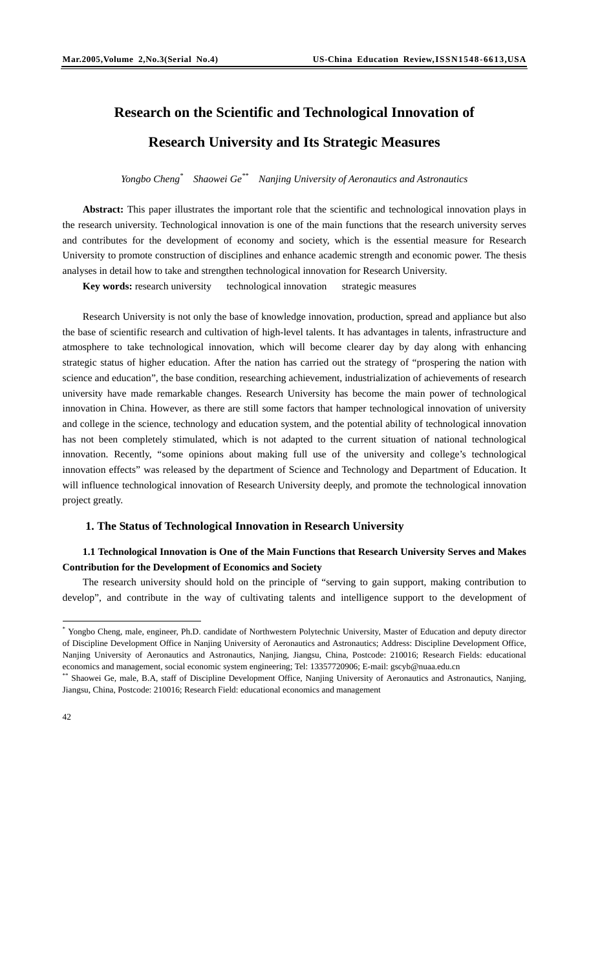# **Research on the Scientific and Technological Innovation of Research University and Its Strategic Measures**

*Yongbo Cheng\* Shaowei Ge\*\* Nanjing University of Aeronautics and Astronautics* 

**Abstract:** This paper illustrates the important role that the scientific and technological innovation plays in the research university. Technological innovation is one of the main functions that the research university serves and contributes for the development of economy and society, which is the essential measure for Research University to promote construction of disciplines and enhance academic strength and economic power. The thesis analyses in detail how to take and strengthen technological innovation for Research University.

**Key words:** research university technological innovation strategic measures

Research University is not only the base of knowledge innovation, production, spread and appliance but also the base of scientific research and cultivation of high-level talents. It has advantages in talents, infrastructure and atmosphere to take technological innovation, which will become clearer day by day along with enhancing strategic status of higher education. After the nation has carried out the strategy of "prospering the nation with science and education", the base condition, researching achievement, industrialization of achievements of research university have made remarkable changes. Research University has become the main power of technological innovation in China. However, as there are still some factors that hamper technological innovation of university and college in the science, technology and education system, and the potential ability of technological innovation has not been completely stimulated, which is not adapted to the current situation of national technological innovation. Recently, "some opinions about making full use of the university and college's technological innovation effects" was released by the department of Science and Technology and Department of Education. It will influence technological innovation of Research University deeply, and promote the technological innovation project greatly.

## **1. The Status of Technological Innovation in Research University**

## **1.1 Technological Innovation is One of the Main Functions that Research University Serves and Makes Contribution for the Development of Economics and Society**

The research university should hold on the principle of "serving to gain support, making contribution to develop", and contribute in the way of cultivating talents and intelligence support to the development of

 $\overline{a}$ 

<sup>\*</sup> Yongbo Cheng, male, engineer, Ph.D. candidate of Northwestern Polytechnic University, Master of Education and deputy director of Discipline Development Office in Nanjing University of Aeronautics and Astronautics; Address: Discipline Development Office, Nanjing University of Aeronautics and Astronautics, Nanjing, Jiangsu, China, Postcode: 210016; Research Fields: educational economics and management, social economic system engineering; Tel: 13357720906; E-mail: gscyb@nuaa.edu.cn<br>\*\* Shaowei Ge, male, B.A, staff of Discipline Development Office, Nanjing University of Aeronautics and Astronautics

Jiangsu, China, Postcode: 210016; Research Field: educational economics and management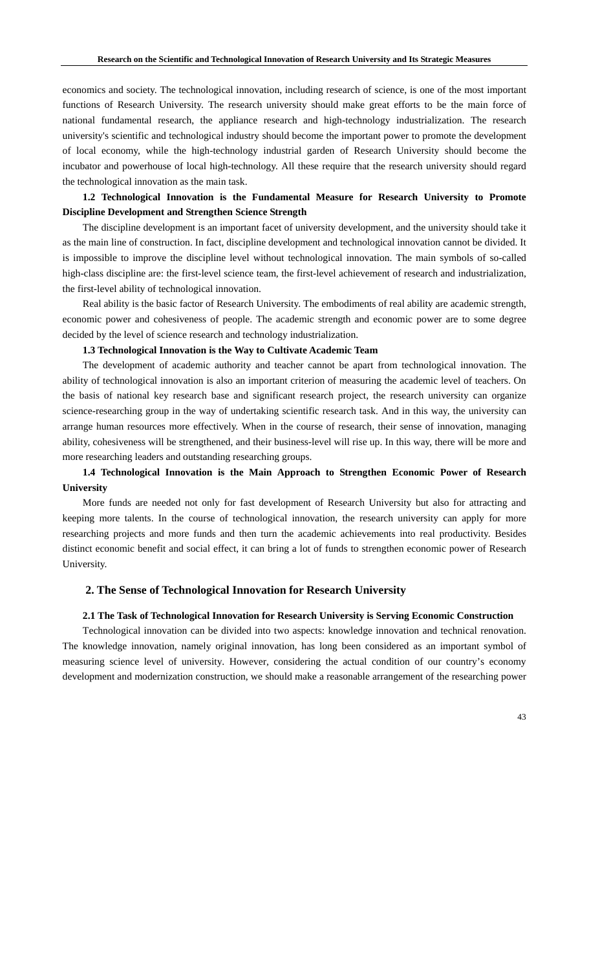economics and society. The technological innovation, including research of science, is one of the most important functions of Research University. The research university should make great efforts to be the main force of national fundamental research, the appliance research and high-technology industrialization. The research university's scientific and technological industry should become the important power to promote the development of local economy, while the high-technology industrial garden of Research University should become the incubator and powerhouse of local high-technology. All these require that the research university should regard the technological innovation as the main task.

**1.2 Technological Innovation is the Fundamental Measure for Research University to Promote Discipline Development and Strengthen Science Strength** 

The discipline development is an important facet of university development, and the university should take it as the main line of construction. In fact, discipline development and technological innovation cannot be divided. It is impossible to improve the discipline level without technological innovation. The main symbols of so-called high-class discipline are: the first-level science team, the first-level achievement of research and industrialization, the first-level ability of technological innovation.

Real ability is the basic factor of Research University. The embodiments of real ability are academic strength, economic power and cohesiveness of people. The academic strength and economic power are to some degree decided by the level of science research and technology industrialization.

#### **1.3 Technological Innovation is the Way to Cultivate Academic Team**

The development of academic authority and teacher cannot be apart from technological innovation. The ability of technological innovation is also an important criterion of measuring the academic level of teachers. On the basis of national key research base and significant research project, the research university can organize science-researching group in the way of undertaking scientific research task. And in this way, the university can arrange human resources more effectively. When in the course of research, their sense of innovation, managing ability, cohesiveness will be strengthened, and their business-level will rise up. In this way, there will be more and more researching leaders and outstanding researching groups.

## **1.4 Technological Innovation is the Main Approach to Strengthen Economic Power of Research University**

More funds are needed not only for fast development of Research University but also for attracting and keeping more talents. In the course of technological innovation, the research university can apply for more researching projects and more funds and then turn the academic achievements into real productivity. Besides distinct economic benefit and social effect, it can bring a lot of funds to strengthen economic power of Research University.

#### **2. The Sense of Technological Innovation for Research University**

#### **2.1 The Task of Technological Innovation for Research University is Serving Economic Construction**

Technological innovation can be divided into two aspects: knowledge innovation and technical renovation. The knowledge innovation, namely original innovation, has long been considered as an important symbol of measuring science level of university. However, considering the actual condition of our country's economy development and modernization construction, we should make a reasonable arrangement of the researching power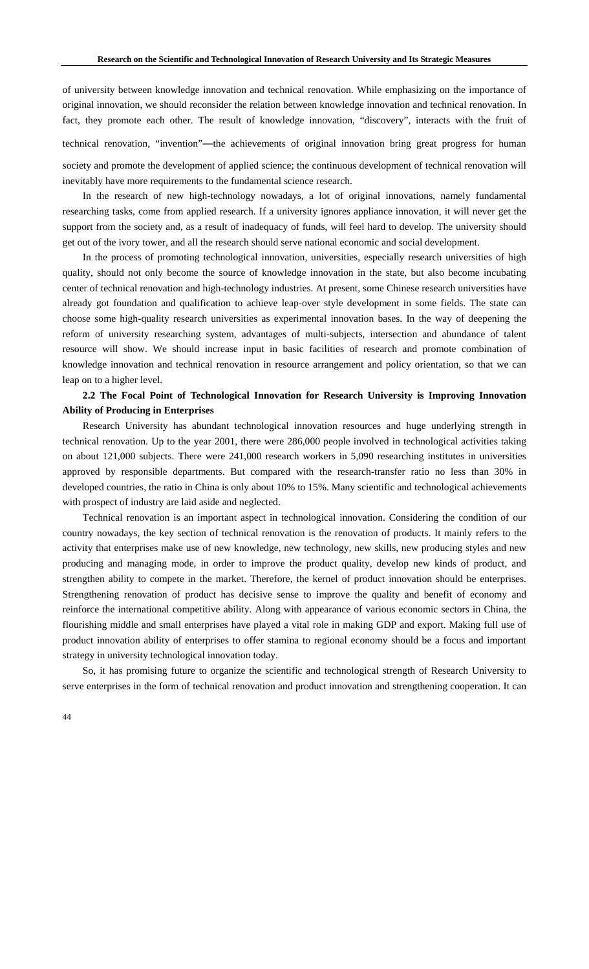of university between knowledge innovation and technical renovation. While emphasizing on the importance of original innovation, we should reconsider the relation between knowledge innovation and technical renovation. In fact, they promote each other. The result of knowledge innovation, "discovery", interacts with the fruit of

technical renovation, "invention"—the achievements of original innovation bring great progress for human society and promote the development of applied science; the continuous development of technical renovation will inevitably have more requirements to the fundamental science research.

In the research of new high-technology nowadays, a lot of original innovations, namely fundamental researching tasks, come from applied research. If a university ignores appliance innovation, it will never get the support from the society and, as a result of inadequacy of funds, will feel hard to develop. The university should get out of the ivory tower, and all the research should serve national economic and social development.

In the process of promoting technological innovation, universities, especially research universities of high quality, should not only become the source of knowledge innovation in the state, but also become incubating center of technical renovation and high-technology industries. At present, some Chinese research universities have already got foundation and qualification to achieve leap-over style development in some fields. The state can choose some high-quality research universities as experimental innovation bases. In the way of deepening the reform of university researching system, advantages of multi-subjects, intersection and abundance of talent resource will show. We should increase input in basic facilities of research and promote combination of knowledge innovation and technical renovation in resource arrangement and policy orientation, so that we can leap on to a higher level.

## **2.2 The Focal Point of Technological Innovation for Research University is Improving Innovation Ability of Producing in Enterprises**

Research University has abundant technological innovation resources and huge underlying strength in technical renovation. Up to the year 2001, there were 286,000 people involved in technological activities taking on about 121,000 subjects. There were 241,000 research workers in 5,090 researching institutes in universities approved by responsible departments. But compared with the research-transfer ratio no less than 30% in developed countries, the ratio in China is only about 10% to 15%. Many scientific and technological achievements with prospect of industry are laid aside and neglected.

Technical renovation is an important aspect in technological innovation. Considering the condition of our country nowadays, the key section of technical renovation is the renovation of products. It mainly refers to the activity that enterprises make use of new knowledge, new technology, new skills, new producing styles and new producing and managing mode, in order to improve the product quality, develop new kinds of product, and strengthen ability to compete in the market. Therefore, the kernel of product innovation should be enterprises. Strengthening renovation of product has decisive sense to improve the quality and benefit of economy and reinforce the international competitive ability. Along with appearance of various economic sectors in China, the flourishing middle and small enterprises have played a vital role in making GDP and export. Making full use of product innovation ability of enterprises to offer stamina to regional economy should be a focus and important strategy in university technological innovation today.

So, it has promising future to organize the scientific and technological strength of Research University to serve enterprises in the form of technical renovation and product innovation and strengthening cooperation. It can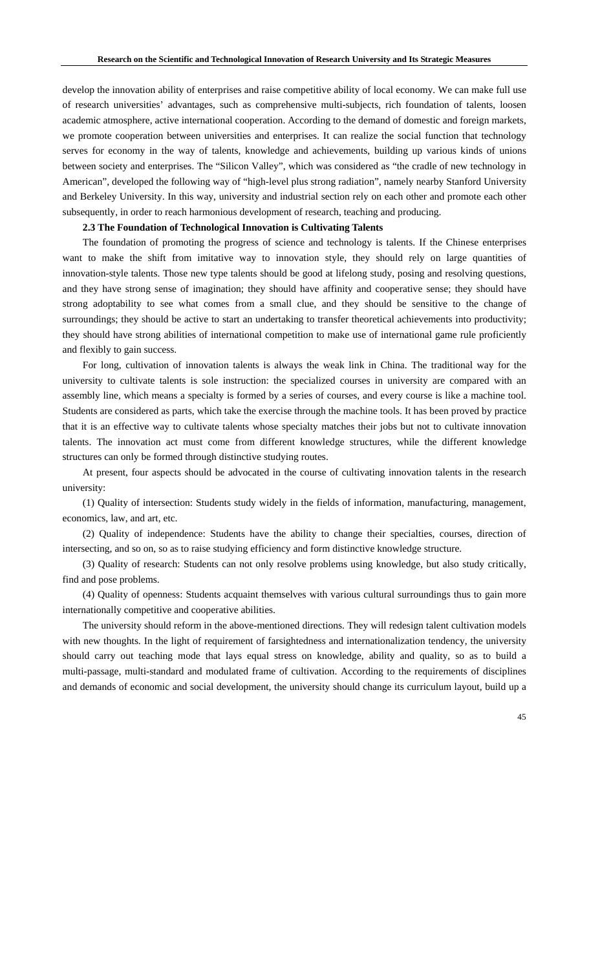develop the innovation ability of enterprises and raise competitive ability of local economy. We can make full use of research universities' advantages, such as comprehensive multi-subjects, rich foundation of talents, loosen academic atmosphere, active international cooperation. According to the demand of domestic and foreign markets, we promote cooperation between universities and enterprises. It can realize the social function that technology serves for economy in the way of talents, knowledge and achievements, building up various kinds of unions between society and enterprises. The "Silicon Valley", which was considered as "the cradle of new technology in American", developed the following way of "high-level plus strong radiation", namely nearby Stanford University and Berkeley University. In this way, university and industrial section rely on each other and promote each other subsequently, in order to reach harmonious development of research, teaching and producing.

#### **2.3 The Foundation of Technological Innovation is Cultivating Talents**

The foundation of promoting the progress of science and technology is talents. If the Chinese enterprises want to make the shift from imitative way to innovation style, they should rely on large quantities of innovation-style talents. Those new type talents should be good at lifelong study, posing and resolving questions, and they have strong sense of imagination; they should have affinity and cooperative sense; they should have strong adoptability to see what comes from a small clue, and they should be sensitive to the change of surroundings; they should be active to start an undertaking to transfer theoretical achievements into productivity; they should have strong abilities of international competition to make use of international game rule proficiently and flexibly to gain success.

For long, cultivation of innovation talents is always the weak link in China. The traditional way for the university to cultivate talents is sole instruction: the specialized courses in university are compared with an assembly line, which means a specialty is formed by a series of courses, and every course is like a machine tool. Students are considered as parts, which take the exercise through the machine tools. It has been proved by practice that it is an effective way to cultivate talents whose specialty matches their jobs but not to cultivate innovation talents. The innovation act must come from different knowledge structures, while the different knowledge structures can only be formed through distinctive studying routes.

At present, four aspects should be advocated in the course of cultivating innovation talents in the research university:

(1) Quality of intersection: Students study widely in the fields of information, manufacturing, management, economics, law, and art, etc.

(2) Quality of independence: Students have the ability to change their specialties, courses, direction of intersecting, and so on, so as to raise studying efficiency and form distinctive knowledge structure.

(3) Quality of research: Students can not only resolve problems using knowledge, but also study critically, find and pose problems.

(4) Quality of openness: Students acquaint themselves with various cultural surroundings thus to gain more internationally competitive and cooperative abilities.

The university should reform in the above-mentioned directions. They will redesign talent cultivation models with new thoughts. In the light of requirement of farsightedness and internationalization tendency, the university should carry out teaching mode that lays equal stress on knowledge, ability and quality, so as to build a multi-passage, multi-standard and modulated frame of cultivation. According to the requirements of disciplines and demands of economic and social development, the university should change its curriculum layout, build up a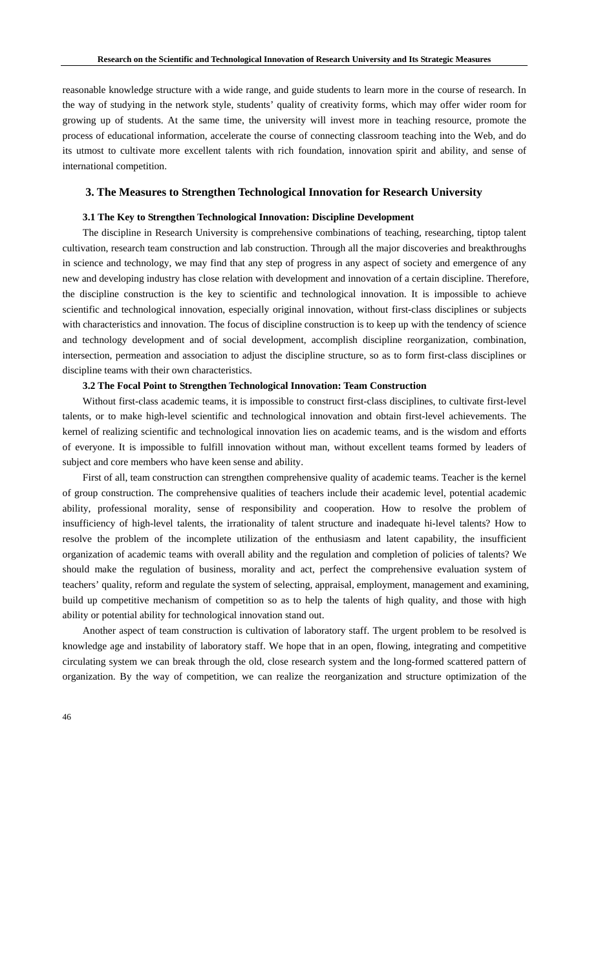reasonable knowledge structure with a wide range, and guide students to learn more in the course of research. In the way of studying in the network style, students' quality of creativity forms, which may offer wider room for growing up of students. At the same time, the university will invest more in teaching resource, promote the process of educational information, accelerate the course of connecting classroom teaching into the Web, and do its utmost to cultivate more excellent talents with rich foundation, innovation spirit and ability, and sense of international competition.

## **3. The Measures to Strengthen Technological Innovation for Research University**

#### **3.1 The Key to Strengthen Technological Innovation: Discipline Development**

The discipline in Research University is comprehensive combinations of teaching, researching, tiptop talent cultivation, research team construction and lab construction. Through all the major discoveries and breakthroughs in science and technology, we may find that any step of progress in any aspect of society and emergence of any new and developing industry has close relation with development and innovation of a certain discipline. Therefore, the discipline construction is the key to scientific and technological innovation. It is impossible to achieve scientific and technological innovation, especially original innovation, without first-class disciplines or subjects with characteristics and innovation. The focus of discipline construction is to keep up with the tendency of science and technology development and of social development, accomplish discipline reorganization, combination, intersection, permeation and association to adjust the discipline structure, so as to form first-class disciplines or discipline teams with their own characteristics.

#### **3.2 The Focal Point to Strengthen Technological Innovation: Team Construction**

Without first-class academic teams, it is impossible to construct first-class disciplines, to cultivate first-level talents, or to make high-level scientific and technological innovation and obtain first-level achievements. The kernel of realizing scientific and technological innovation lies on academic teams, and is the wisdom and efforts of everyone. It is impossible to fulfill innovation without man, without excellent teams formed by leaders of subject and core members who have keen sense and ability.

First of all, team construction can strengthen comprehensive quality of academic teams. Teacher is the kernel of group construction. The comprehensive qualities of teachers include their academic level, potential academic ability, professional morality, sense of responsibility and cooperation. How to resolve the problem of insufficiency of high-level talents, the irrationality of talent structure and inadequate hi-level talents? How to resolve the problem of the incomplete utilization of the enthusiasm and latent capability, the insufficient organization of academic teams with overall ability and the regulation and completion of policies of talents? We should make the regulation of business, morality and act, perfect the comprehensive evaluation system of teachers' quality, reform and regulate the system of selecting, appraisal, employment, management and examining, build up competitive mechanism of competition so as to help the talents of high quality, and those with high ability or potential ability for technological innovation stand out.

Another aspect of team construction is cultivation of laboratory staff. The urgent problem to be resolved is knowledge age and instability of laboratory staff. We hope that in an open, flowing, integrating and competitive circulating system we can break through the old, close research system and the long-formed scattered pattern of organization. By the way of competition, we can realize the reorganization and structure optimization of the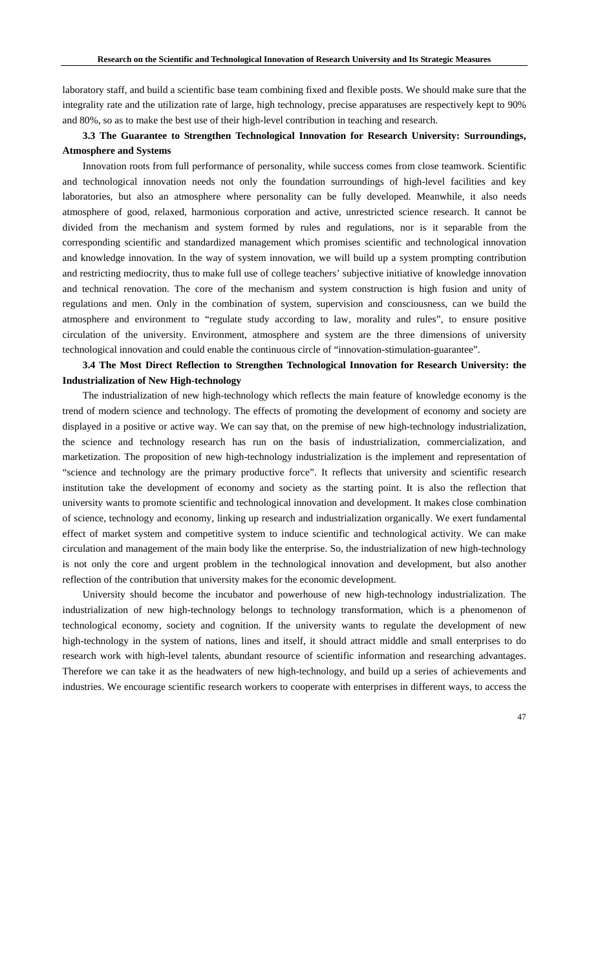laboratory staff, and build a scientific base team combining fixed and flexible posts. We should make sure that the integrality rate and the utilization rate of large, high technology, precise apparatuses are respectively kept to 90% and 80%, so as to make the best use of their high-level contribution in teaching and research.

## **3.3 The Guarantee to Strengthen Technological Innovation for Research University: Surroundings, Atmosphere and Systems**

Innovation roots from full performance of personality, while success comes from close teamwork. Scientific and technological innovation needs not only the foundation surroundings of high-level facilities and key laboratories, but also an atmosphere where personality can be fully developed. Meanwhile, it also needs atmosphere of good, relaxed, harmonious corporation and active, unrestricted science research. It cannot be divided from the mechanism and system formed by rules and regulations, nor is it separable from the corresponding scientific and standardized management which promises scientific and technological innovation and knowledge innovation. In the way of system innovation, we will build up a system prompting contribution and restricting mediocrity, thus to make full use of college teachers' subjective initiative of knowledge innovation and technical renovation. The core of the mechanism and system construction is high fusion and unity of regulations and men. Only in the combination of system, supervision and consciousness, can we build the atmosphere and environment to "regulate study according to law, morality and rules", to ensure positive circulation of the university. Environment, atmosphere and system are the three dimensions of university technological innovation and could enable the continuous circle of "innovation-stimulation-guarantee".

# **3.4 The Most Direct Reflection to Strengthen Technological Innovation for Research University: the Industrialization of New High-technology**

The industrialization of new high-technology which reflects the main feature of knowledge economy is the trend of modern science and technology. The effects of promoting the development of economy and society are displayed in a positive or active way. We can say that, on the premise of new high-technology industrialization, the science and technology research has run on the basis of industrialization, commercialization, and marketization. The proposition of new high-technology industrialization is the implement and representation of "science and technology are the primary productive force". It reflects that university and scientific research institution take the development of economy and society as the starting point. It is also the reflection that university wants to promote scientific and technological innovation and development. It makes close combination of science, technology and economy, linking up research and industrialization organically. We exert fundamental effect of market system and competitive system to induce scientific and technological activity. We can make circulation and management of the main body like the enterprise. So, the industrialization of new high-technology is not only the core and urgent problem in the technological innovation and development, but also another reflection of the contribution that university makes for the economic development.

University should become the incubator and powerhouse of new high-technology industrialization. The industrialization of new high-technology belongs to technology transformation, which is a phenomenon of technological economy, society and cognition. If the university wants to regulate the development of new high-technology in the system of nations, lines and itself, it should attract middle and small enterprises to do research work with high-level talents, abundant resource of scientific information and researching advantages. Therefore we can take it as the headwaters of new high-technology, and build up a series of achievements and industries. We encourage scientific research workers to cooperate with enterprises in different ways, to access the